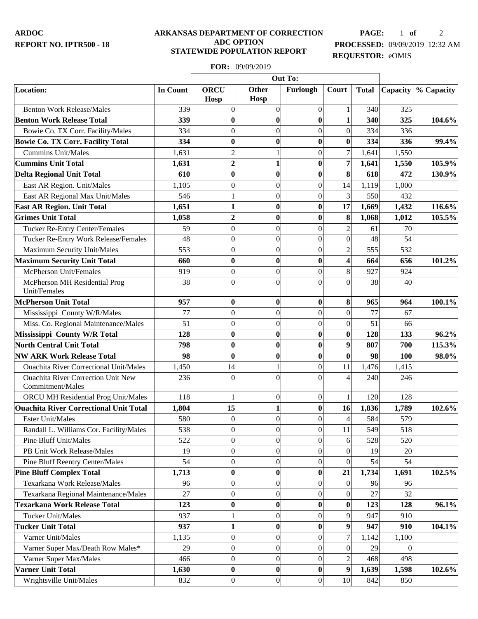## **ARKANSAS DEPARTMENT OF CORRECTION ADC OPTION STATEWIDE POPULATION REPORT**

**PAGE:** 1 **of** 2 **PROCESSED:** 09/09/2019 12:32 AM **REQUESTOR:** eOMIS

## **FOR:** 09/09/2019

|                                                               |                 | Out To:                    |                      |                  |                  |              |          |            |
|---------------------------------------------------------------|-----------------|----------------------------|----------------------|------------------|------------------|--------------|----------|------------|
| Location:                                                     | <b>In Count</b> | <b>ORCU</b><br><b>Hosp</b> | <b>Other</b><br>Hosp | Furlough         | Court            | <b>Total</b> | Capacity | % Capacity |
| <b>Benton Work Release/Males</b>                              | 339             | $\overline{0}$             | $\boldsymbol{0}$     | $\boldsymbol{0}$ | $\mathbf{1}$     | 340          | 325      |            |
| <b>Benton Work Release Total</b>                              | 339             | $\bf{0}$                   | $\bf{0}$             | $\bf{0}$         | $\mathbf{1}$     | 340          | 325      | 104.6%     |
| Bowie Co. TX Corr. Facility/Males                             | 334             | $\theta$                   | $\overline{0}$       | $\overline{0}$   | 0                | 334          | 336      |            |
| <b>Bowie Co. TX Corr. Facility Total</b>                      | 334             | $\bf{0}$                   | $\bf{0}$             | $\bf{0}$         | $\boldsymbol{0}$ | 334          | 336      | 99.4%      |
| Cummins Unit/Males                                            | 1,631           | $\overline{c}$             | $\mathbf{1}$         | $\mathbf{0}$     | $\overline{7}$   | 1,641        | 1,550    |            |
| <b>Cummins Unit Total</b>                                     | 1,631           | $\overline{2}$             | $\mathbf{1}$         | $\bf{0}$         | $\overline{7}$   | 1,641        | 1,550    | 105.9%     |
| <b>Delta Regional Unit Total</b>                              | 610             | $\bf{0}$                   | $\bf{0}$             | $\bf{0}$         | 8                | 618          | 472      | 130.9%     |
| East AR Region. Unit/Males                                    | 1,105           | $\overline{0}$             | $\boldsymbol{0}$     | $\mathbf{0}$     | 14               | 1,119        | 1,000    |            |
| East AR Regional Max Unit/Males                               | 546             |                            | $\boldsymbol{0}$     | $\mathbf{0}$     | $\overline{3}$   | 550          | 432      |            |
| <b>East AR Region. Unit Total</b>                             | 1,651           | 1                          | $\bf{0}$             | $\bf{0}$         | 17               | 1,669        | 1,432    | 116.6%     |
| <b>Grimes Unit Total</b>                                      | 1,058           | $\overline{2}$             | $\bf{0}$             | $\bf{0}$         | 8                | 1,068        | 1,012    | 105.5%     |
| <b>Tucker Re-Entry Center/Females</b>                         | 59              | $\overline{0}$             | $\boldsymbol{0}$     | $\mathbf{0}$     | $\overline{2}$   | 61           | 70       |            |
| Tucker Re-Entry Work Release/Females                          | 48              | $\theta$                   | $\boldsymbol{0}$     | $\mathbf{0}$     | $\overline{0}$   | 48           | 54       |            |
| Maximum Security Unit/Males                                   | 553             | $\boldsymbol{0}$           | $\overline{0}$       | $\overline{0}$   | $\overline{2}$   | 555          | 532      |            |
| <b>Maximum Security Unit Total</b>                            | 660             | $\bf{0}$                   | $\bf{0}$             | $\bf{0}$         | $\boldsymbol{4}$ | 664          | 656      | 101.2%     |
| McPherson Unit/Females                                        | 919             | $\theta$                   | $\boldsymbol{0}$     | $\boldsymbol{0}$ | 8                | 927          | 924      |            |
| McPherson MH Residential Prog                                 | 38              | $\theta$                   | $\overline{0}$       | $\Omega$         | $\vert 0 \vert$  | 38           | 40       |            |
| Unit/Females                                                  |                 |                            |                      |                  |                  |              |          |            |
| <b>McPherson Unit Total</b>                                   | 957             | $\bf{0}$                   | $\bf{0}$             | $\bf{0}$         | $\vert 8 \vert$  | 965          | 964      | 100.1%     |
| Mississippi County W/R/Males                                  | 77              | $\theta$                   | $\overline{0}$       | $\theta$         | 0                | 77           | 67       |            |
| Miss. Co. Regional Maintenance/Males                          | 51              | $\theta$                   | $\boldsymbol{0}$     | $\mathbf{0}$     | 0                | 51           | 66       |            |
| Mississippi County W/R Total                                  | 128             | $\bf{0}$                   | $\bf{0}$             | $\bf{0}$         | 0                | 128          | 133      | 96.2%      |
| <b>North Central Unit Total</b>                               | 798             | $\bf{0}$                   | $\bf{0}$             | $\bf{0}$         | 9                | 807          | 700      | 115.3%     |
| <b>NW ARK Work Release Total</b>                              | 98              | $\bf{0}$                   | $\bf{0}$             | $\bf{0}$         | $\boldsymbol{0}$ | 98           | 100      | 98.0%      |
| <b>Ouachita River Correctional Unit/Males</b>                 | 1,450           | 14                         | 1                    | $\overline{0}$   | 11               | 1,476        | 1,415    |            |
| <b>Ouachita River Correction Unit New</b><br>Commitment/Males | 236             | $\Omega$                   | $\Omega$             | $\Omega$         | 4                | 240          | 246      |            |
| ORCU MH Residential Prog Unit/Males                           | 118             |                            | $\boldsymbol{0}$     | $\overline{0}$   | 1                | 120          | 128      |            |
| <b>Ouachita River Correctional Unit Total</b>                 | 1,804           | 15                         | $\mathbf{1}$         | $\bf{0}$         | 16               | 1,836        | 1,789    | 102.6%     |
| <b>Ester Unit/Males</b>                                       | 580             | $\boldsymbol{0}$           | $\mathbf{0}$         | $\overline{0}$   | $\left 4\right $ | 584          | 579      |            |
| Randall L. Williams Cor. Facility/Males                       | 538             | $\theta$                   | $\boldsymbol{0}$     | $\overline{0}$   | 11               | 549          | 518      |            |
| <b>Pine Bluff Unit/Males</b>                                  | 522             | $\theta$                   | $\boldsymbol{0}$     | $\theta$         | $6 \mid$         | 528          | 520      |            |
| PB Unit Work Release/Males                                    | 19              | $\overline{0}$             | $\boldsymbol{0}$     | $\overline{0}$   | $\vert 0 \vert$  | 19           | 20       |            |
| Pine Bluff Reentry Center/Males                               | 54              | $\overline{0}$             | $\boldsymbol{0}$     | $\overline{0}$   | 0                | 54           | 54       |            |
| <b>Pine Bluff Complex Total</b>                               | 1,713           | $\bf{0}$                   | $\bf{0}$             | $\bf{0}$         | 21               | 1,734        | 1,691    | 102.5%     |
| Texarkana Work Release/Males                                  | 96              | $\overline{0}$             | $\boldsymbol{0}$     | $\overline{0}$   | 0                | 96           | 96       |            |
| Texarkana Regional Maintenance/Males                          | 27              | $\boldsymbol{0}$           | $\boldsymbol{0}$     | $\boldsymbol{0}$ | 0                | 27           | 32       |            |
| <b>Texarkana Work Release Total</b>                           | 123             | $\boldsymbol{0}$           | $\bf{0}$             | $\bf{0}$         | 0                | 123          | 128      | 96.1%      |
| <b>Tucker Unit/Males</b>                                      | 937             |                            | $\boldsymbol{0}$     | $\theta$         | $\overline{9}$   | 947          | 910      |            |
| <b>Tucker Unit Total</b>                                      | 937             | 1                          | $\bf{0}$             | $\bf{0}$         | 9                | 947          | 910      | 104.1%     |
| Varner Unit/Males                                             | 1,135           | $\overline{0}$             | $\boldsymbol{0}$     | $\boldsymbol{0}$ | $\overline{7}$   | 1,142        | 1,100    |            |
| Varner Super Max/Death Row Males*                             | 29              | $\overline{0}$             | $\boldsymbol{0}$     | $\overline{0}$   | 0                | 29           | $\Omega$ |            |
| Varner Super Max/Males                                        | 466             | $\overline{0}$             | $\boldsymbol{0}$     | $\overline{0}$   | $\overline{2}$   | 468          | 498      |            |
| <b>Varner Unit Total</b>                                      | 1,630           | $\bf{0}$                   | $\bf{0}$             | $\bf{0}$         | 9                | 1,639        | 1,598    | 102.6%     |
| Wrightsville Unit/Males                                       | 832             | $\overline{0}$             | $\boldsymbol{0}$     | $\boldsymbol{0}$ | 10 <sup>1</sup>  | 842          | 850      |            |